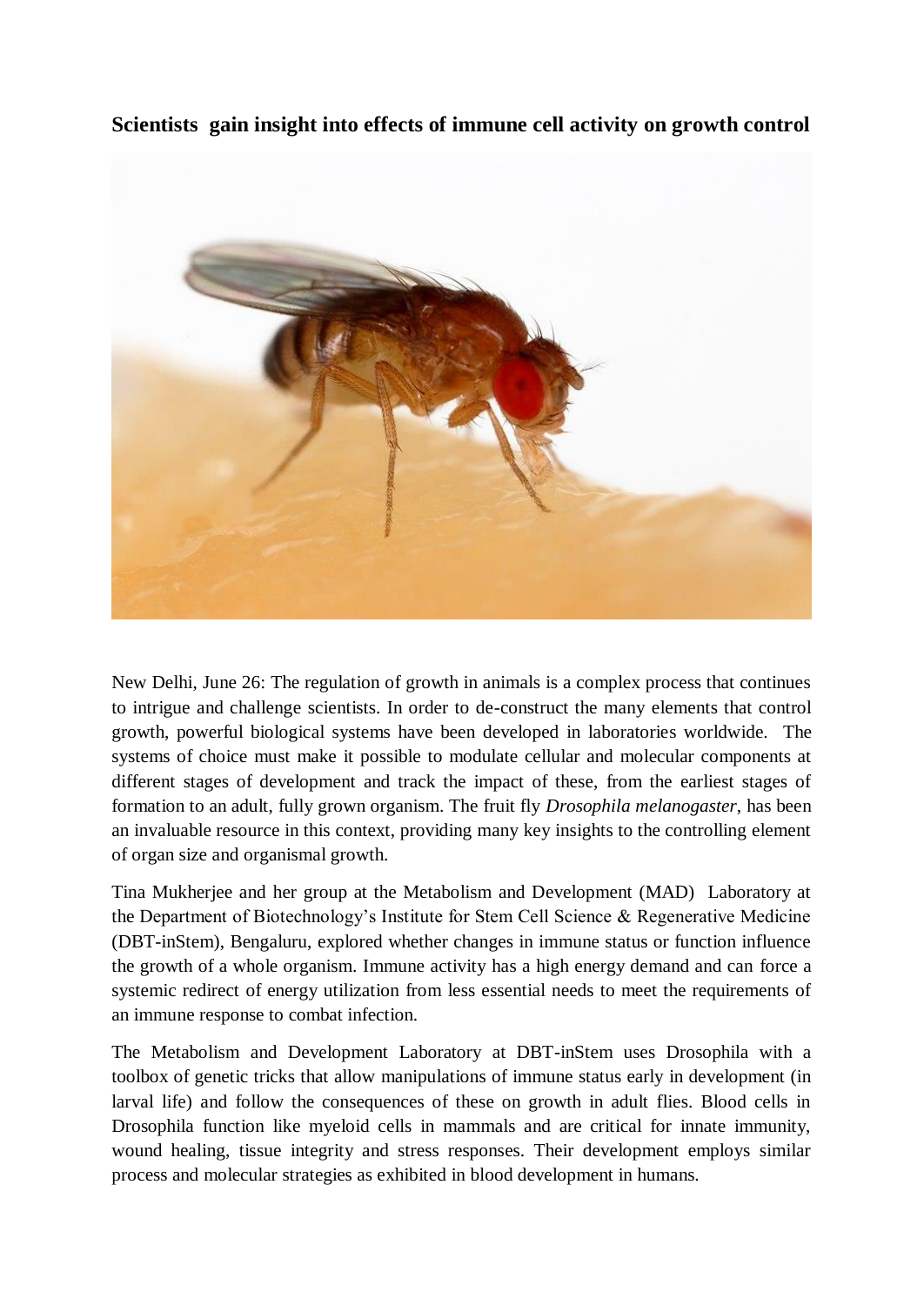



New Delhi, June 26: The regulation of growth in animals is a complex process that continues to intrigue and challenge scientists. In order to de-construct the many elements that control growth, powerful biological systems have been developed in laboratories worldwide. The systems of choice must make it possible to modulate cellular and molecular components at different stages of development and track the impact of these, from the earliest stages of formation to an adult, fully grown organism. The fruit fly *Drosophila melanogaster*, has been an invaluable resource in this context, providing many key insights to the controlling element of organ size and organismal growth.

Tina Mukherjee and her group at the Metabolism and Development (MAD) Laboratory at the Department of Biotechnology's Institute for Stem Cell Science & Regenerative Medicine (DBT-inStem), Bengaluru, explored whether changes in immune status or function influence the growth of a whole organism. Immune activity has a high energy demand and can force a systemic redirect of energy utilization from less essential needs to meet the requirements of an immune response to combat infection.

The Metabolism and Development Laboratory at DBT-inStem uses Drosophila with a toolbox of genetic tricks that allow manipulations of immune status early in development (in larval life) and follow the consequences of these on growth in adult flies. Blood cells in Drosophila function like myeloid cells in mammals and are critical for innate immunity, wound healing, tissue integrity and stress responses. Their development employs similar process and molecular strategies as exhibited in blood development in humans.